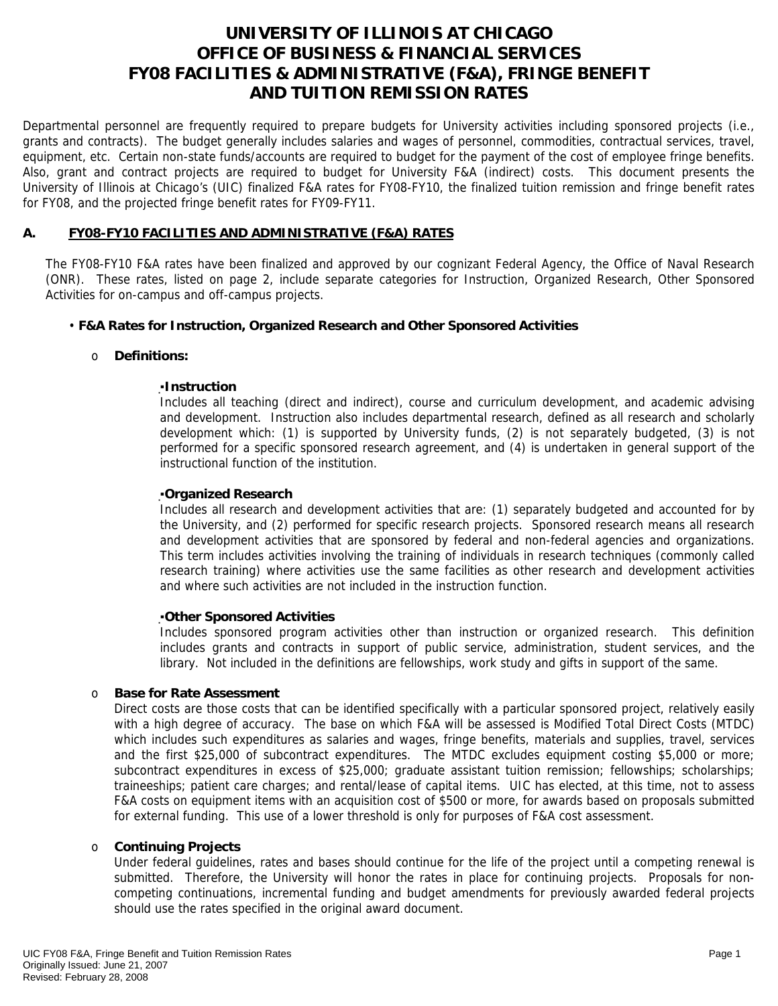# **UNIVERSITY OF ILLINOIS AT CHICAGO OFFICE OF BUSINESS & FINANCIAL SERVICES FY08 FACILITIES & ADMINISTRATIVE (F&A), FRINGE BENEFIT AND TUITION REMISSION RATES**

Departmental personnel are frequently required to prepare budgets for University activities including sponsored projects (i.e., grants and contracts). The budget generally includes salaries and wages of personnel, commodities, contractual services, travel, equipment, etc. Certain non-state funds/accounts are required to budget for the payment of the cost of employee fringe benefits. Also, grant and contract projects are required to budget for University F&A (indirect) costs. This document presents the University of Illinois at Chicago's (UIC) finalized F&A rates for FY08-FY10, the finalized tuition remission and fringe benefit rates for FY08, and the projected fringe benefit rates for FY09-FY11.

# **A. FY08-FY10 FACILITIES AND ADMINISTRATIVE (F&A) RATES**

The FY08-FY10 F&A rates have been finalized and approved by our cognizant Federal Agency, the Office of Naval Research (ONR). These rates, listed on page 2, include separate categories for Instruction, Organized Research, Other Sponsored Activities for on-campus and off-campus projects.

# • **F&A Rates for Instruction, Organized Research and Other Sponsored Activities**

# o **Definitions:**

### ▪**Instruction**

Includes all teaching (direct and indirect), course and curriculum development, and academic advising and development. Instruction also includes departmental research, defined as all research and scholarly development which: (1) is supported by University funds, (2) is not separately budgeted, (3) is not performed for a specific sponsored research agreement, and (4) is undertaken in general support of the instructional function of the institution.

### ▪**Organized Research**

Includes all research and development activities that are: (1) separately budgeted and accounted for by the University, and (2) performed for specific research projects. Sponsored research means all research and development activities that are sponsored by federal and non-federal agencies and organizations. This term includes activities involving the training of individuals in research techniques (commonly called research training) where activities use the same facilities as other research and development activities and where such activities are not included in the instruction function.

#### ▪**Other Sponsored Activities**

Includes sponsored program activities other than instruction or organized research. This definition includes grants and contracts in support of public service, administration, student services, and the library. Not included in the definitions are fellowships, work study and gifts in support of the same.

# o **Base for Rate Assessment**

Direct costs are those costs that can be identified specifically with a particular sponsored project, relatively easily with a high degree of accuracy. The base on which F&A will be assessed is Modified Total Direct Costs (MTDC) which includes such expenditures as salaries and wages, fringe benefits, materials and supplies, travel, services and the first \$25,000 of subcontract expenditures. The MTDC excludes equipment costing \$5,000 or more; subcontract expenditures in excess of \$25,000; graduate assistant tuition remission; fellowships; scholarships; traineeships; patient care charges; and rental/lease of capital items. UIC has elected, at this time, not to assess F&A costs on equipment items with an acquisition cost of \$500 or more, for awards based on proposals submitted for external funding. This use of a lower threshold is only for purposes of F&A cost assessment.

#### o **Continuing Projects**

Under federal guidelines, rates and bases should continue for the life of the project until a competing renewal is submitted. Therefore, the University will honor the rates in place for continuing projects. Proposals for noncompeting continuations, incremental funding and budget amendments for previously awarded federal projects should use the rates specified in the original award document.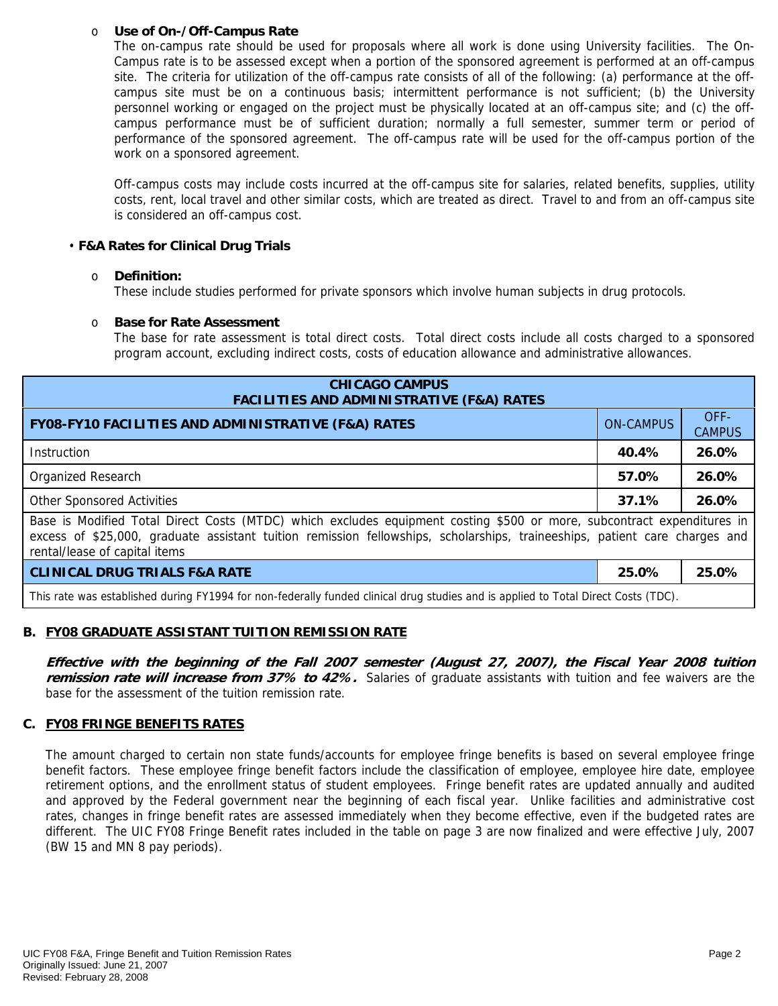### o **Use of On-/Off-Campus Rate**

The on-campus rate should be used for proposals where all work is done using University facilities. The On-Campus rate is to be assessed except when a portion of the sponsored agreement is performed at an off-campus site. The criteria for utilization of the off-campus rate consists of all of the following: (a) performance at the offcampus site must be on a continuous basis; intermittent performance is not sufficient; (b) the University personnel working or engaged on the project must be physically located at an off-campus site; and (c) the offcampus performance must be of sufficient duration; normally a full semester, summer term or period of performance of the sponsored agreement. The off-campus rate will be used for the off-campus portion of the work on a sponsored agreement.

Off-campus costs may include costs incurred at the off-campus site for salaries, related benefits, supplies, utility costs, rent, local travel and other similar costs, which are treated as direct. Travel to and from an off-campus site is considered an off-campus cost.

### • **F&A Rates for Clinical Drug Trials**

### o **Definition:**

These include studies performed for private sponsors which involve human subjects in drug protocols.

### o **Base for Rate Assessment**

The base for rate assessment is total direct costs. Total direct costs include all costs charged to a sponsored program account, excluding indirect costs, costs of education allowance and administrative allowances.

| <b>CHICAGO CAMPUS</b><br><b>FACILITIES AND ADMINISTRATIVE (F&amp;A) RATES</b>                                                                                                                                                                                                         |                  |                       |  |  |
|---------------------------------------------------------------------------------------------------------------------------------------------------------------------------------------------------------------------------------------------------------------------------------------|------------------|-----------------------|--|--|
| <b>FY08-FY10 FACILITIES AND ADMINISTRATIVE (F&amp;A) RATES</b>                                                                                                                                                                                                                        | <b>ON-CAMPUS</b> | OFF-<br><b>CAMPUS</b> |  |  |
| Instruction                                                                                                                                                                                                                                                                           | 40.4%            | 26.0%                 |  |  |
| Organized Research                                                                                                                                                                                                                                                                    | 57.0%            | 26.0%                 |  |  |
| <b>Other Sponsored Activities</b>                                                                                                                                                                                                                                                     | 37.1%            | 26.0%                 |  |  |
| Base is Modified Total Direct Costs (MTDC) which excludes equipment costing \$500 or more, subcontract expenditures in<br>excess of \$25,000, graduate assistant tuition remission fellowships, scholarships, traineeships, patient care charges and<br>rental/lease of capital items |                  |                       |  |  |
| <b>CLINICAL DRUG TRIALS F&amp;A RATE</b>                                                                                                                                                                                                                                              | 25.0%            | 25.0%                 |  |  |
| This rate was established during FY1994 for non-federally funded clinical drug studies and is applied to Total Direct Costs (TDC).                                                                                                                                                    |                  |                       |  |  |

# **B. FY08 GRADUATE ASSISTANT TUITION REMISSION RATE**

**Effective with the beginning of the Fall 2007 semester (August 27, 2007), the Fiscal Year 2008 tuition remission rate will increase from 37% to 42%.** Salaries of graduate assistants with tuition and fee waivers are the base for the assessment of the tuition remission rate.

# **C. FY08 FRINGE BENEFITS RATES**

The amount charged to certain non state funds/accounts for employee fringe benefits is based on several employee fringe benefit factors. These employee fringe benefit factors include the classification of employee, employee hire date, employee retirement options, and the enrollment status of student employees. Fringe benefit rates are updated annually and audited and approved by the Federal government near the beginning of each fiscal year. Unlike facilities and administrative cost rates, changes in fringe benefit rates are assessed immediately when they become effective, even if the budgeted rates are different. The UIC FY08 Fringe Benefit rates included in the table on page 3 are now finalized and were effective July, 2007 (BW 15 and MN 8 pay periods).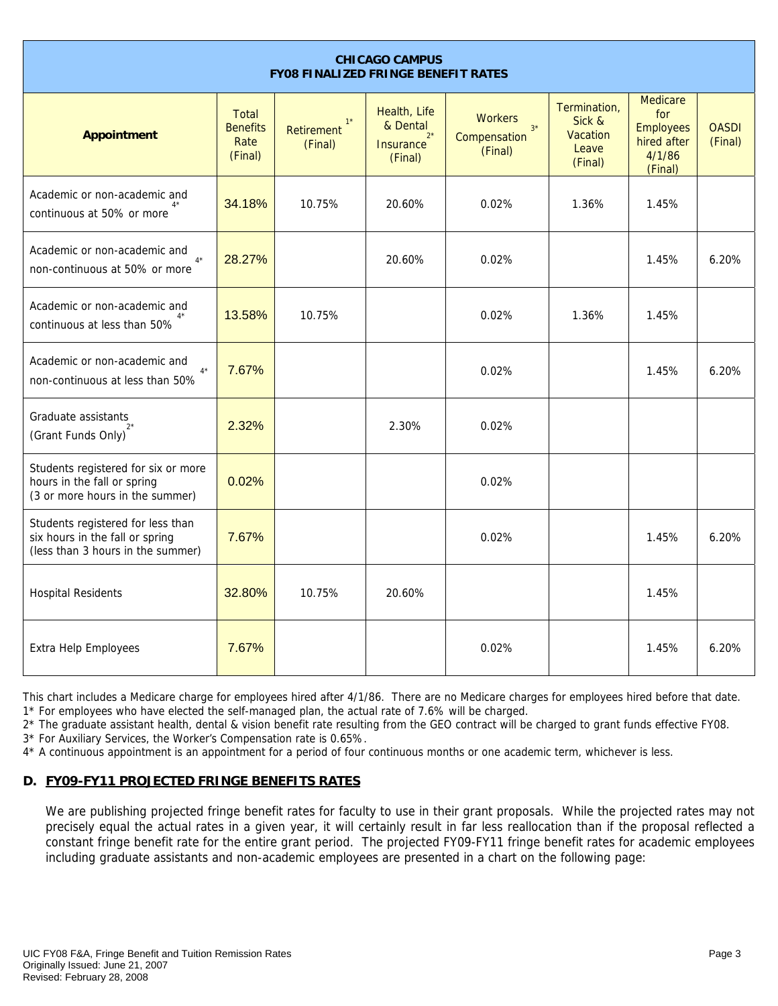| <b>CHICAGO CAMPUS</b><br><b>FY08 FINALIZED FRINGE BENEFIT RATES</b>                                       |                                                    |                                       |                                                                  |                                                   |                                                        |                                                                                |                         |
|-----------------------------------------------------------------------------------------------------------|----------------------------------------------------|---------------------------------------|------------------------------------------------------------------|---------------------------------------------------|--------------------------------------------------------|--------------------------------------------------------------------------------|-------------------------|
| <b>Appointment</b>                                                                                        | <b>Total</b><br><b>Benefits</b><br>Rate<br>(Final) | $1^*$<br><b>Retirement</b><br>(Final) | Health, Life<br>& Dental<br>$2^*$<br><b>Insurance</b><br>(Final) | <b>Workers</b><br>$3*$<br>Compensation<br>(Final) | Termination,<br>Sick &<br>Vacation<br>Leave<br>(Final) | <b>Medicare</b><br>for<br><b>Employees</b><br>hired after<br>4/1/86<br>(Final) | <b>OASDI</b><br>(Final) |
| Academic or non-academic and<br>continuous at 50% or more                                                 | 34.18%                                             | 10.75%                                | 20.60%                                                           | 0.02%                                             | 1.36%                                                  | 1.45%                                                                          |                         |
| Academic or non-academic and<br>$4*$<br>non-continuous at 50% or more                                     | 28.27%                                             |                                       | 20.60%                                                           | 0.02%                                             |                                                        | 1.45%                                                                          | 6.20%                   |
| Academic or non-academic and<br>continuous at less than 50%                                               | 13.58%                                             | 10.75%                                |                                                                  | 0.02%                                             | 1.36%                                                  | 1.45%                                                                          |                         |
| Academic or non-academic and<br>$4^{\star}$<br>non-continuous at less than 50%                            | 7.67%                                              |                                       |                                                                  | 0.02%                                             |                                                        | 1.45%                                                                          | 6.20%                   |
| Graduate assistants<br>(Grant Funds Only)                                                                 | 2.32%                                              |                                       | 2.30%                                                            | 0.02%                                             |                                                        |                                                                                |                         |
| Students registered for six or more<br>hours in the fall or spring<br>(3 or more hours in the summer)     | 0.02%                                              |                                       |                                                                  | 0.02%                                             |                                                        |                                                                                |                         |
| Students registered for less than<br>six hours in the fall or spring<br>(less than 3 hours in the summer) | 7.67%                                              |                                       |                                                                  | 0.02%                                             |                                                        | 1.45%                                                                          | 6.20%                   |
| <b>Hospital Residents</b>                                                                                 | 32.80%                                             | 10.75%                                | 20.60%                                                           |                                                   |                                                        | 1.45%                                                                          |                         |
| <b>Extra Help Employees</b>                                                                               | 7.67%                                              |                                       |                                                                  | 0.02%                                             |                                                        | 1.45%                                                                          | 6.20%                   |

This chart includes a Medicare charge for employees hired after 4/1/86. There are no Medicare charges for employees hired before that date. 1\* For employees who have elected the self-managed plan, the actual rate of 7.6% will be charged.

2\* The graduate assistant health, dental & vision benefit rate resulting from the GEO contract will be charged to grant funds effective FY08.

3\* For Auxiliary Services, the Worker's Compensation rate is 0.65%.

4\* A continuous appointment is an appointment for a period of four continuous months or one academic term, whichever is less.

# **D. FY09-FY11 PROJECTED FRINGE BENEFITS RATES**

We are publishing projected fringe benefit rates for faculty to use in their grant proposals. While the projected rates may not precisely equal the actual rates in a given year, it will certainly result in far less reallocation than if the proposal reflected a constant fringe benefit rate for the entire grant period. The projected FY09-FY11 fringe benefit rates for academic employees including graduate assistants and non-academic employees are presented in a chart on the following page: